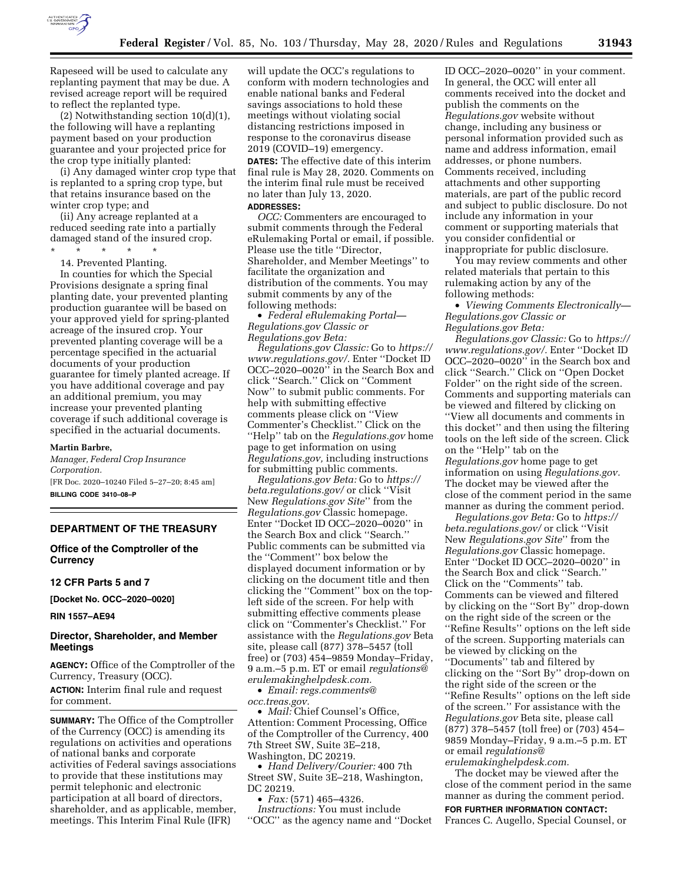

Rapeseed will be used to calculate any replanting payment that may be due. A revised acreage report will be required to reflect the replanted type.

(2) Notwithstanding section 10(d)(1), the following will have a replanting payment based on your production guarantee and your projected price for the crop type initially planted:

(i) Any damaged winter crop type that is replanted to a spring crop type, but that retains insurance based on the winter crop type; and

(ii) Any acreage replanted at a reduced seeding rate into a partially damaged stand of the insured crop.

\* \* \* \* \* 14. Prevented Planting.

In counties for which the Special Provisions designate a spring final planting date, your prevented planting production guarantee will be based on your approved yield for spring-planted acreage of the insured crop. Your prevented planting coverage will be a percentage specified in the actuarial documents of your production guarantee for timely planted acreage. If you have additional coverage and pay an additional premium, you may increase your prevented planting coverage if such additional coverage is specified in the actuarial documents.

#### **Martin Barbre,**

*Manager, Federal Crop Insurance Corporation.*  [FR Doc. 2020–10240 Filed 5–27–20; 8:45 am] **BILLING CODE 3410–08–P** 

#### **DEPARTMENT OF THE TREASURY**

**Office of the Comptroller of the Currency** 

# **12 CFR Parts 5 and 7**

**[Docket No. OCC–2020–0020]** 

**RIN 1557–AE94** 

## **Director, Shareholder, and Member Meetings**

**AGENCY:** Office of the Comptroller of the Currency, Treasury (OCC).

**ACTION:** Interim final rule and request for comment.

**SUMMARY:** The Office of the Comptroller of the Currency (OCC) is amending its regulations on activities and operations of national banks and corporate activities of Federal savings associations to provide that these institutions may permit telephonic and electronic participation at all board of directors, shareholder, and as applicable, member, meetings. This Interim Final Rule (IFR)

will update the OCC's regulations to conform with modern technologies and enable national banks and Federal savings associations to hold these meetings without violating social distancing restrictions imposed in response to the coronavirus disease 2019 (COVID–19) emergency.

**DATES:** The effective date of this interim final rule is May 28, 2020. Comments on the interim final rule must be received no later than July 13, 2020. **ADDRESSES:** 

*OCC:* Commenters are encouraged to submit comments through the Federal eRulemaking Portal or email, if possible. Please use the title ''Director, Shareholder, and Member Meetings'' to facilitate the organization and distribution of the comments. You may submit comments by any of the following methods:

• *Federal eRulemaking Portal— Regulations.gov Classic or Regulations.gov Beta:* 

*Regulations.gov Classic:* Go to *[https://](https://www.regulations.gov/)  [www.regulations.gov/.](https://www.regulations.gov/)* Enter ''Docket ID OCC–2020–0020'' in the Search Box and click ''Search.'' Click on ''Comment Now'' to submit public comments. For help with submitting effective comments please click on ''View Commenter's Checklist.'' Click on the ''Help'' tab on the *Regulations.gov* home page to get information on using *Regulations.gov,* including instructions for submitting public comments.

*Regulations.gov Beta:* Go to *[https://](https://beta.regulations.gov/) [beta.regulations.gov/](https://beta.regulations.gov/)* or click ''Visit New *Regulations.gov Site*'' from the *Regulations.gov* Classic homepage. Enter ''Docket ID OCC–2020–0020'' in the Search Box and click ''Search.'' Public comments can be submitted via the ''Comment'' box below the displayed document information or by clicking on the document title and then clicking the ''Comment'' box on the topleft side of the screen. For help with submitting effective comments please click on ''Commenter's Checklist.'' For assistance with the *Regulations.gov* Beta site, please call (877) 378–5457 (toll free) or (703) 454–9859 Monday–Friday, 9 a.m.–5 p.m. ET or email *[regulations@](mailto:regulations@erulemakinghelpdesk.com) [erulemakinghelpdesk.com.](mailto:regulations@erulemakinghelpdesk.com)* 

• *Email: [regs.comments@](mailto:regs.comments@occ.treas.gov)*

*[occ.treas.gov.](mailto:regs.comments@occ.treas.gov)* 

• *Mail:* Chief Counsel's Office, Attention: Comment Processing, Office of the Comptroller of the Currency, 400 7th Street SW, Suite 3E–218, Washington, DC 20219.

• *Hand Delivery/Courier:* 400 7th Street SW, Suite 3E–218, Washington, DC 20219.

• *Fax:* (571) 465–4326.

*Instructions:* You must include ''OCC'' as the agency name and ''Docket

ID OCC–2020–0020'' in your comment. In general, the OCC will enter all comments received into the docket and publish the comments on the *Regulations.gov* website without change, including any business or personal information provided such as name and address information, email addresses, or phone numbers. Comments received, including attachments and other supporting materials, are part of the public record and subject to public disclosure. Do not include any information in your comment or supporting materials that you consider confidential or inappropriate for public disclosure.

You may review comments and other related materials that pertain to this rulemaking action by any of the following methods:

• *Viewing Comments Electronically— Regulations.gov Classic or Regulations.gov Beta:* 

*Regulations.gov Classic:* Go to *[https://](https://www.regulations.gov/)  [www.regulations.gov/.](https://www.regulations.gov/)* Enter ''Docket ID OCC–2020–0020'' in the Search box and click ''Search.'' Click on ''Open Docket Folder'' on the right side of the screen. Comments and supporting materials can be viewed and filtered by clicking on ''View all documents and comments in this docket'' and then using the filtering tools on the left side of the screen. Click on the ''Help'' tab on the *Regulations.gov* home page to get information on using *Regulations.gov.*  The docket may be viewed after the close of the comment period in the same manner as during the comment period.

*Regulations.gov Beta:* Go to *[https://](https://beta.regulations.gov/) [beta.regulations.gov/](https://beta.regulations.gov/)* or click ''Visit New *Regulations.gov Site*'' from the *Regulations.gov* Classic homepage. Enter ''Docket ID OCC–2020–0020'' in the Search Box and click ''Search.'' Click on the ''Comments'' tab. Comments can be viewed and filtered by clicking on the ''Sort By'' drop-down on the right side of the screen or the ''Refine Results'' options on the left side of the screen. Supporting materials can be viewed by clicking on the ''Documents'' tab and filtered by clicking on the ''Sort By'' drop-down on the right side of the screen or the ''Refine Results'' options on the left side of the screen.'' For assistance with the *Regulations.gov* Beta site, please call (877) 378–5457 (toll free) or (703) 454– 9859 Monday–Friday, 9 a.m.–5 p.m. ET or email *[regulations@](mailto:regulations@erulemakinghelpdesk.com) [erulemakinghelpdesk.com.](mailto:regulations@erulemakinghelpdesk.com)* 

The docket may be viewed after the close of the comment period in the same manner as during the comment period.

#### **FOR FURTHER INFORMATION CONTACT:**

Frances C. Augello, Special Counsel, or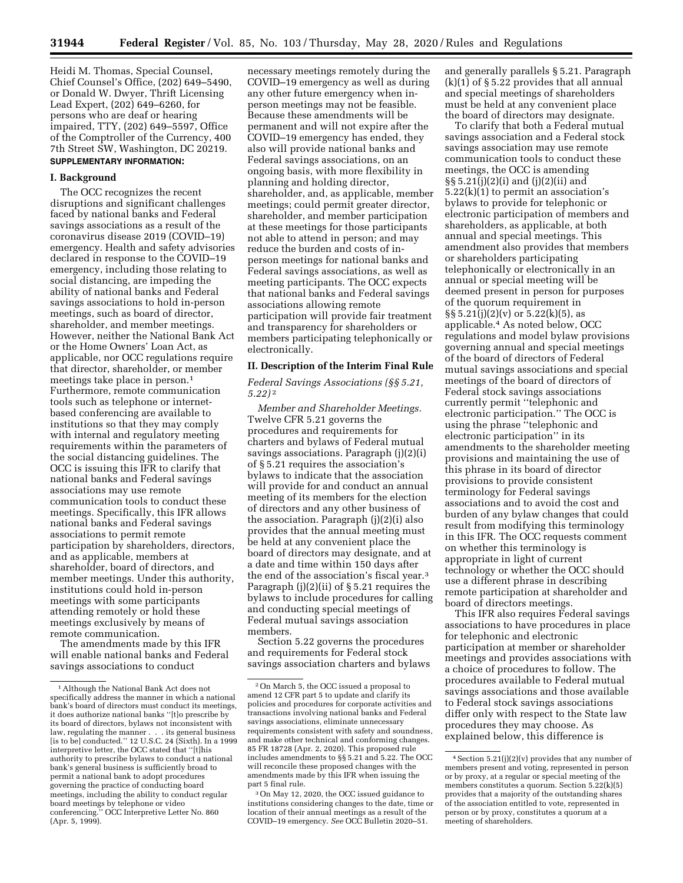Heidi M. Thomas, Special Counsel, Chief Counsel's Office, (202) 649–5490, or Donald W. Dwyer, Thrift Licensing Lead Expert, (202) 649–6260, for persons who are deaf or hearing impaired, TTY, (202) 649–5597, Office of the Comptroller of the Currency, 400 7th Street SW, Washington, DC 20219. **SUPPLEMENTARY INFORMATION:** 

#### **I. Background**

The OCC recognizes the recent disruptions and significant challenges faced by national banks and Federal savings associations as a result of the coronavirus disease 2019 (COVID–19) emergency. Health and safety advisories declared in response to the COVID–19 emergency, including those relating to social distancing, are impeding the ability of national banks and Federal savings associations to hold in-person meetings, such as board of director, shareholder, and member meetings. However, neither the National Bank Act or the Home Owners' Loan Act, as applicable, nor OCC regulations require that director, shareholder, or member meetings take place in person.1 Furthermore, remote communication tools such as telephone or internetbased conferencing are available to institutions so that they may comply with internal and regulatory meeting requirements within the parameters of the social distancing guidelines. The OCC is issuing this IFR to clarify that national banks and Federal savings associations may use remote communication tools to conduct these meetings. Specifically, this IFR allows national banks and Federal savings associations to permit remote participation by shareholders, directors, and as applicable, members at shareholder, board of directors, and member meetings. Under this authority, institutions could hold in-person meetings with some participants attending remotely or hold these meetings exclusively by means of remote communication.

The amendments made by this IFR will enable national banks and Federal savings associations to conduct

necessary meetings remotely during the COVID–19 emergency as well as during any other future emergency when inperson meetings may not be feasible. Because these amendments will be permanent and will not expire after the COVID–19 emergency has ended, they also will provide national banks and Federal savings associations, on an ongoing basis, with more flexibility in planning and holding director, shareholder, and, as applicable, member meetings; could permit greater director, shareholder, and member participation at these meetings for those participants not able to attend in person; and may reduce the burden and costs of inperson meetings for national banks and Federal savings associations, as well as meeting participants. The OCC expects that national banks and Federal savings associations allowing remote participation will provide fair treatment and transparency for shareholders or members participating telephonically or electronically.

## **II. Description of the Interim Final Rule**

*Federal Savings Associations (§§ 5.21, 5.22)* 2

*Member and Shareholder Meetings.*  Twelve CFR 5.21 governs the procedures and requirements for charters and bylaws of Federal mutual savings associations. Paragraph (j)(2)(i) of § 5.21 requires the association's bylaws to indicate that the association will provide for and conduct an annual meeting of its members for the election of directors and any other business of the association. Paragraph (j)(2)(i) also provides that the annual meeting must be held at any convenient place the board of directors may designate, and at a date and time within 150 days after the end of the association's fiscal year.3 Paragraph (j)(2)(ii) of § 5.21 requires the bylaws to include procedures for calling and conducting special meetings of Federal mutual savings association members.

Section 5.22 governs the procedures and requirements for Federal stock savings association charters and bylaws and generally parallels § 5.21. Paragraph (k)(1) of § 5.22 provides that all annual and special meetings of shareholders must be held at any convenient place the board of directors may designate.

To clarify that both a Federal mutual savings association and a Federal stock savings association may use remote communication tools to conduct these meetings, the OCC is amending §§ 5.21(j)(2)(i) and (j)(2)(ii) and 5.22(k)(1) to permit an association's bylaws to provide for telephonic or electronic participation of members and shareholders, as applicable, at both annual and special meetings. This amendment also provides that members or shareholders participating telephonically or electronically in an annual or special meeting will be deemed present in person for purposes of the quorum requirement in  $\S$ § 5.21(j)(2)(v) or 5.22(k)(5), as applicable.4 As noted below, OCC regulations and model bylaw provisions governing annual and special meetings of the board of directors of Federal mutual savings associations and special meetings of the board of directors of Federal stock savings associations currently permit ''telephonic and electronic participation.'' The OCC is using the phrase ''telephonic and electronic participation'' in its amendments to the shareholder meeting provisions and maintaining the use of this phrase in its board of director provisions to provide consistent terminology for Federal savings associations and to avoid the cost and burden of any bylaw changes that could result from modifying this terminology in this IFR. The OCC requests comment on whether this terminology is appropriate in light of current technology or whether the OCC should use a different phrase in describing remote participation at shareholder and board of directors meetings.

This IFR also requires Federal savings associations to have procedures in place for telephonic and electronic participation at member or shareholder meetings and provides associations with a choice of procedures to follow. The procedures available to Federal mutual savings associations and those available to Federal stock savings associations differ only with respect to the State law procedures they may choose. As explained below, this difference is

<sup>1</sup>Although the National Bank Act does not specifically address the manner in which a national bank's board of directors must conduct its meetings, it does authorize national banks ''[t]o prescribe by its board of directors, bylaws not inconsistent with law, regulating the manner . . . its general business [is to be] conducted.'' 12 U.S.C. 24 (Sixth). In a 1999 interpretive letter, the OCC stated that ''[t]his authority to prescribe bylaws to conduct a national bank's general business is sufficiently broad to permit a national bank to adopt procedures governing the practice of conducting board meetings, including the ability to conduct regular board meetings by telephone or video conferencing.'' OCC Interpretive Letter No. 860 (Apr. 5, 1999).

<sup>2</sup>On March 5, the OCC issued a proposal to amend 12 CFR part 5 to update and clarify its policies and procedures for corporate activities and transactions involving national banks and Federal savings associations, eliminate unnecessary requirements consistent with safety and soundness, and make other technical and conforming changes. 85 FR 18728 (Apr. 2, 2020). This proposed rule includes amendments to §§ 5.21 and 5.22. The OCC will reconcile these proposed changes with the amendments made by this IFR when issuing the part 5 final rule.

<sup>3</sup>On May 12, 2020, the OCC issued guidance to institutions considering changes to the date, time or location of their annual meetings as a result of the COVID–19 emergency. *See* OCC Bulletin 2020–51.

<sup>4</sup>Section 5.21(j)(2)(v) provides that any number of members present and voting, represented in person or by proxy, at a regular or special meeting of the members constitutes a quorum. Section 5.22(k)(5) provides that a majority of the outstanding shares of the association entitled to vote, represented in person or by proxy, constitutes a quorum at a meeting of shareholders.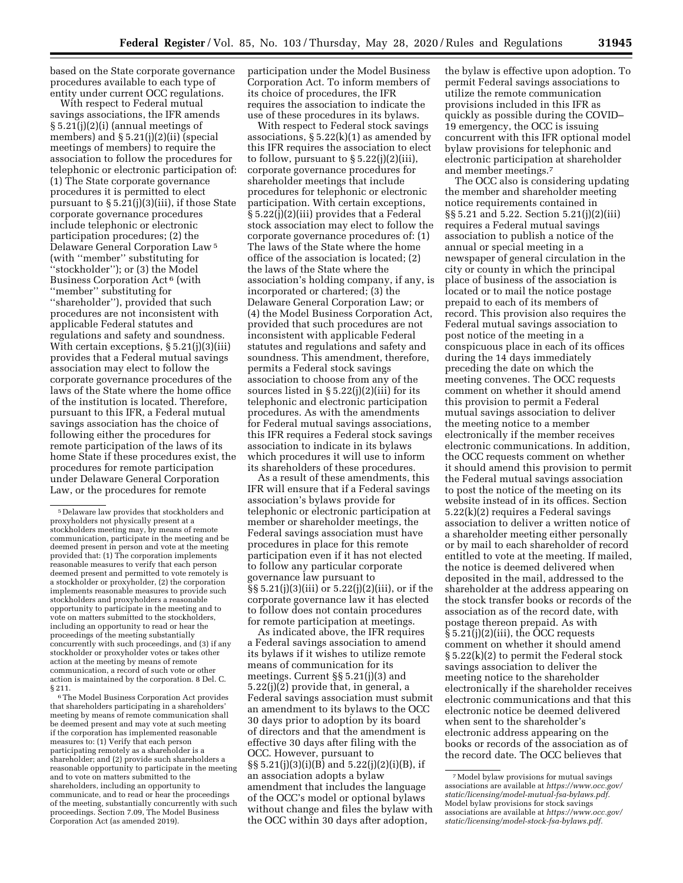based on the State corporate governance procedures available to each type of entity under current OCC regulations.

With respect to Federal mutual savings associations, the IFR amends § 5.21(j)(2)(i) (annual meetings of members) and § 5.21(j)(2)(ii) (special meetings of members) to require the association to follow the procedures for telephonic or electronic participation of: (1) The State corporate governance procedures it is permitted to elect pursuant to § 5.21(j)(3)(iii), if those State corporate governance procedures include telephonic or electronic participation procedures; (2) the Delaware General Corporation Law 5 (with ''member'' substituting for ''stockholder''); or (3) the Model Business Corporation Act 6 (with ''member'' substituting for ''shareholder''), provided that such procedures are not inconsistent with applicable Federal statutes and regulations and safety and soundness. With certain exceptions, § 5.21(j)(3)(iii) provides that a Federal mutual savings association may elect to follow the corporate governance procedures of the laws of the State where the home office of the institution is located. Therefore, pursuant to this IFR, a Federal mutual savings association has the choice of following either the procedures for remote participation of the laws of its home State if these procedures exist, the procedures for remote participation under Delaware General Corporation Law, or the procedures for remote

6The Model Business Corporation Act provides that shareholders participating in a shareholders' meeting by means of remote communication shall be deemed present and may vote at such meeting if the corporation has implemented reasonable measures to: (1) Verify that each person participating remotely as a shareholder is a shareholder; and (2) provide such shareholders a reasonable opportunity to participate in the meeting and to vote on matters submitted to the shareholders, including an opportunity to communicate, and to read or hear the proceedings of the meeting, substantially concurrently with such proceedings. Section 7.09, The Model Business Corporation Act (as amended 2019).

participation under the Model Business Corporation Act. To inform members of its choice of procedures, the IFR requires the association to indicate the use of these procedures in its bylaws.

With respect to Federal stock savings associations,  $\S 5.22(k)(1)$  as amended by this IFR requires the association to elect to follow, pursuant to  $\S 5.22(j)(2)(iii)$ , corporate governance procedures for shareholder meetings that include procedures for telephonic or electronic participation. With certain exceptions, § 5.22(j)(2)(iii) provides that a Federal stock association may elect to follow the corporate governance procedures of: (1) The laws of the State where the home office of the association is located; (2) the laws of the State where the association's holding company, if any, is incorporated or chartered; (3) the Delaware General Corporation Law; or (4) the Model Business Corporation Act, provided that such procedures are not inconsistent with applicable Federal statutes and regulations and safety and soundness. This amendment, therefore, permits a Federal stock savings association to choose from any of the sources listed in § 5.22(j)(2)(iii) for its telephonic and electronic participation procedures. As with the amendments for Federal mutual savings associations, this IFR requires a Federal stock savings association to indicate in its bylaws which procedures it will use to inform its shareholders of these procedures.

As a result of these amendments, this IFR will ensure that if a Federal savings association's bylaws provide for telephonic or electronic participation at member or shareholder meetings, the Federal savings association must have procedures in place for this remote participation even if it has not elected to follow any particular corporate governance law pursuant to §§ 5.21(j)(3)(iii) or 5.22(j)(2)(iii), or if the corporate governance law it has elected to follow does not contain procedures for remote participation at meetings.

As indicated above, the IFR requires a Federal savings association to amend its bylaws if it wishes to utilize remote means of communication for its meetings. Current §§ 5.21(j)(3) and 5.22(j)(2) provide that, in general, a Federal savings association must submit an amendment to its bylaws to the OCC 30 days prior to adoption by its board of directors and that the amendment is effective 30 days after filing with the OCC. However, pursuant to §§ 5.21(j)(3)(i)(B) and 5.22(j)(2)(i)(B), if an association adopts a bylaw amendment that includes the language of the OCC's model or optional bylaws without change and files the bylaw with the OCC within 30 days after adoption,

the bylaw is effective upon adoption. To permit Federal savings associations to utilize the remote communication provisions included in this IFR as quickly as possible during the COVID– 19 emergency, the OCC is issuing concurrent with this IFR optional model bylaw provisions for telephonic and electronic participation at shareholder and member meetings.<sup>7</sup>

The OCC also is considering updating the member and shareholder meeting notice requirements contained in §§ 5.21 and 5.22. Section 5.21(j)(2)(iii) requires a Federal mutual savings association to publish a notice of the annual or special meeting in a newspaper of general circulation in the city or county in which the principal place of business of the association is located or to mail the notice postage prepaid to each of its members of record. This provision also requires the Federal mutual savings association to post notice of the meeting in a conspicuous place in each of its offices during the 14 days immediately preceding the date on which the meeting convenes. The OCC requests comment on whether it should amend this provision to permit a Federal mutual savings association to deliver the meeting notice to a member electronically if the member receives electronic communications. In addition, the OCC requests comment on whether it should amend this provision to permit the Federal mutual savings association to post the notice of the meeting on its website instead of in its offices. Section 5.22(k)(2) requires a Federal savings association to deliver a written notice of a shareholder meeting either personally or by mail to each shareholder of record entitled to vote at the meeting. If mailed, the notice is deemed delivered when deposited in the mail, addressed to the shareholder at the address appearing on the stock transfer books or records of the association as of the record date, with postage thereon prepaid. As with § 5.21(j)(2)(iii), the OCC requests comment on whether it should amend § 5.22(k)(2) to permit the Federal stock savings association to deliver the meeting notice to the shareholder electronically if the shareholder receives electronic communications and that this electronic notice be deemed delivered when sent to the shareholder's electronic address appearing on the books or records of the association as of the record date. The OCC believes that

<sup>5</sup> Delaware law provides that stockholders and proxyholders not physically present at a stockholders meeting may, by means of remote communication, participate in the meeting and be deemed present in person and vote at the meeting provided that: (1) The corporation implements reasonable measures to verify that each person deemed present and permitted to vote remotely is a stockholder or proxyholder, (2) the corporation implements reasonable measures to provide such stockholders and proxyholders a reasonable opportunity to participate in the meeting and to vote on matters submitted to the stockholders, including an opportunity to read or hear the proceedings of the meeting substantially concurrently with such proceedings, and (3) if any stockholder or proxyholder votes or takes other action at the meeting by means of remote communication, a record of such vote or other action is maintained by the corporation. 8 Del. C. § 211.

<sup>7</sup>Model bylaw provisions for mutual savings associations are available at *[https://www.occ.gov/](https://www.occ.gov/static/licensing/model-mutual-fsa-bylaws.pdf) [static/licensing/model-mutual-fsa-bylaws.pdf.](https://www.occ.gov/static/licensing/model-mutual-fsa-bylaws.pdf)*  Model bylaw provisions for stock savings associations are available at *[https://www.occ.gov/](https://www.occ.gov/static/licensing/model-stock-fsa-bylaws.pdf) [static/licensing/model-stock-fsa-bylaws.pdf.](https://www.occ.gov/static/licensing/model-stock-fsa-bylaws.pdf)*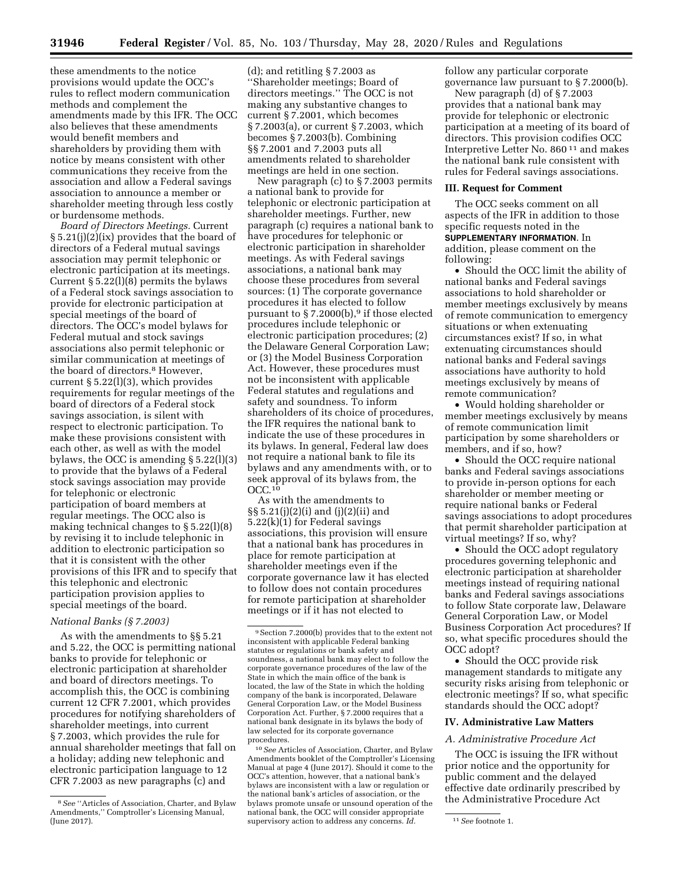these amendments to the notice provisions would update the OCC's rules to reflect modern communication methods and complement the amendments made by this IFR. The OCC also believes that these amendments would benefit members and shareholders by providing them with notice by means consistent with other communications they receive from the association and allow a Federal savings association to announce a member or shareholder meeting through less costly or burdensome methods.

*Board of Directors Meetings.* Current § 5.21(j)(2)(ix) provides that the board of directors of a Federal mutual savings association may permit telephonic or electronic participation at its meetings. Current  $\S 5.22(1)(8)$  permits the bylaws of a Federal stock savings association to provide for electronic participation at special meetings of the board of directors. The OCC's model bylaws for Federal mutual and stock savings associations also permit telephonic or similar communication at meetings of the board of directors.<sup>8</sup> However, current § 5.22(l)(3), which provides requirements for regular meetings of the board of directors of a Federal stock savings association, is silent with respect to electronic participation. To make these provisions consistent with each other, as well as with the model bylaws, the OCC is amending § 5.22(l)(3) to provide that the bylaws of a Federal stock savings association may provide for telephonic or electronic participation of board members at regular meetings. The OCC also is making technical changes to  $\S 5.22(1)(8)$ by revising it to include telephonic in addition to electronic participation so that it is consistent with the other provisions of this IFR and to specify that this telephonic and electronic participation provision applies to special meetings of the board.

#### *National Banks (§ 7.2003)*

As with the amendments to §§ 5.21 and 5.22, the OCC is permitting national banks to provide for telephonic or electronic participation at shareholder and board of directors meetings. To accomplish this, the OCC is combining current 12 CFR 7.2001, which provides procedures for notifying shareholders of shareholder meetings, into current § 7.2003, which provides the rule for annual shareholder meetings that fall on a holiday; adding new telephonic and electronic participation language to 12 CFR 7.2003 as new paragraphs (c) and

(d); and retitling § 7.2003 as ''Shareholder meetings; Board of directors meetings.'' The OCC is not making any substantive changes to current § 7.2001, which becomes § 7.2003(a), or current § 7.2003, which becomes § 7.2003(b). Combining §§ 7.2001 and 7.2003 puts all amendments related to shareholder meetings are held in one section.

New paragraph (c) to § 7.2003 permits a national bank to provide for telephonic or electronic participation at shareholder meetings. Further, new paragraph (c) requires a national bank to have procedures for telephonic or electronic participation in shareholder meetings. As with Federal savings associations, a national bank may choose these procedures from several sources: (1) The corporate governance procedures it has elected to follow pursuant to  $\S 7.2000(b)$ ,<sup>9</sup> if those elected procedures include telephonic or electronic participation procedures; (2) the Delaware General Corporation Law; or (3) the Model Business Corporation Act. However, these procedures must not be inconsistent with applicable Federal statutes and regulations and safety and soundness. To inform shareholders of its choice of procedures, the IFR requires the national bank to indicate the use of these procedures in its bylaws. In general, Federal law does not require a national bank to file its bylaws and any amendments with, or to seek approval of its bylaws from, the OCC.10

As with the amendments to §§ 5.21(j)(2)(i) and (j)(2)(ii) and 5.22(k)(1) for Federal savings associations, this provision will ensure that a national bank has procedures in place for remote participation at shareholder meetings even if the corporate governance law it has elected to follow does not contain procedures for remote participation at shareholder meetings or if it has not elected to

10*See* Articles of Association, Charter, and Bylaw Amendments booklet of the Comptroller's Licensing Manual at page 4 (June 2017). Should it come to the OCC's attention, however, that a national bank's bylaws are inconsistent with a law or regulation or the national bank's articles of association, or the bylaws promote unsafe or unsound operation of the national bank, the OCC will consider appropriate supervisory action to address any concerns. *Id.* 11 See footnote 1.

follow any particular corporate governance law pursuant to § 7.2000(b).

New paragraph (d) of § 7.2003 provides that a national bank may provide for telephonic or electronic participation at a meeting of its board of directors. This provision codifies OCC Interpretive Letter No. 860 11 and makes the national bank rule consistent with rules for Federal savings associations.

## **III. Request for Comment**

The OCC seeks comment on all aspects of the IFR in addition to those specific requests noted in the **SUPPLEMENTARY INFORMATION**. In addition, please comment on the following:

• Should the OCC limit the ability of national banks and Federal savings associations to hold shareholder or member meetings exclusively by means of remote communication to emergency situations or when extenuating circumstances exist? If so, in what extenuating circumstances should national banks and Federal savings associations have authority to hold meetings exclusively by means of remote communication?

• Would holding shareholder or member meetings exclusively by means of remote communication limit participation by some shareholders or members, and if so, how?

• Should the OCC require national banks and Federal savings associations to provide in-person options for each shareholder or member meeting or require national banks or Federal savings associations to adopt procedures that permit shareholder participation at virtual meetings? If so, why?

• Should the OCC adopt regulatory procedures governing telephonic and electronic participation at shareholder meetings instead of requiring national banks and Federal savings associations to follow State corporate law, Delaware General Corporation Law, or Model Business Corporation Act procedures? If so, what specific procedures should the OCC adopt?

• Should the OCC provide risk management standards to mitigate any security risks arising from telephonic or electronic meetings? If so, what specific standards should the OCC adopt?

### **IV. Administrative Law Matters**

## *A. Administrative Procedure Act*

The OCC is issuing the IFR without prior notice and the opportunity for public comment and the delayed effective date ordinarily prescribed by the Administrative Procedure Act

<sup>8</sup>*See* ''Articles of Association, Charter, and Bylaw Amendments,'' Comptroller's Licensing Manual, (June 2017).

<sup>9</sup>Section 7.2000(b) provides that to the extent not inconsistent with applicable Federal banking statutes or regulations or bank safety and soundness, a national bank may elect to follow the corporate governance procedures of the law of the State in which the main office of the bank is located, the law of the State in which the holding company of the bank is incorporated, Delaware General Corporation Law, or the Model Business Corporation Act. Further, § 7.2000 requires that a national bank designate in its bylaws the body of law selected for its corporate governance procedures.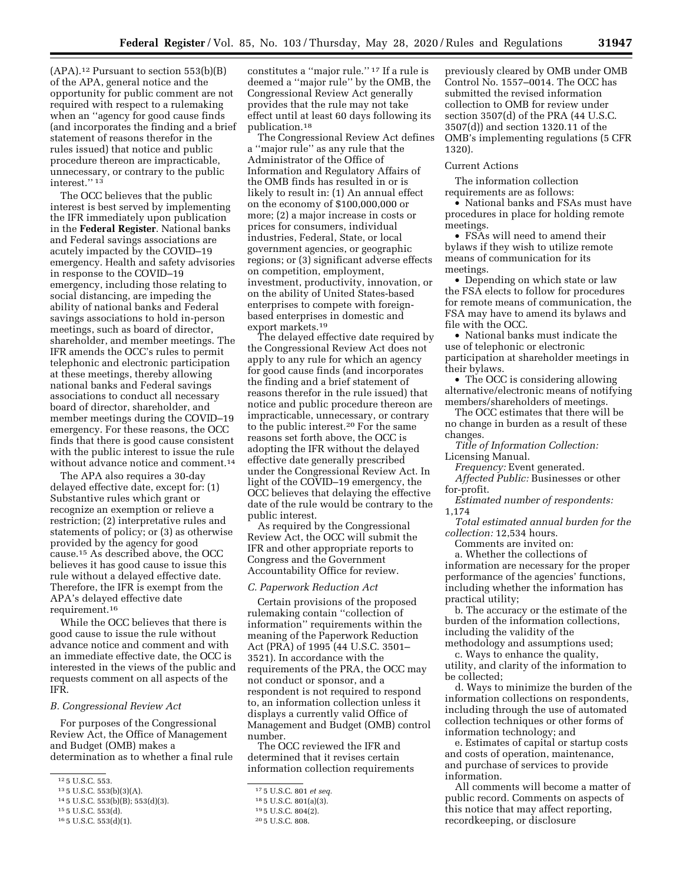$(APA).<sup>12</sup>$  Pursuant to section 553(b)(B) of the APA, general notice and the opportunity for public comment are not required with respect to a rulemaking when an ''agency for good cause finds (and incorporates the finding and a brief statement of reasons therefor in the rules issued) that notice and public procedure thereon are impracticable, unnecessary, or contrary to the public interest."<sup>13</sup>

The OCC believes that the public interest is best served by implementing the IFR immediately upon publication in the **Federal Register**. National banks and Federal savings associations are acutely impacted by the COVID–19 emergency. Health and safety advisories in response to the COVID–19 emergency, including those relating to social distancing, are impeding the ability of national banks and Federal savings associations to hold in-person meetings, such as board of director, shareholder, and member meetings. The IFR amends the OCC's rules to permit telephonic and electronic participation at these meetings, thereby allowing national banks and Federal savings associations to conduct all necessary board of director, shareholder, and member meetings during the COVID–19 emergency. For these reasons, the OCC finds that there is good cause consistent with the public interest to issue the rule without advance notice and comment.14

The APA also requires a 30-day delayed effective date, except for: (1) Substantive rules which grant or recognize an exemption or relieve a restriction; (2) interpretative rules and statements of policy; or (3) as otherwise provided by the agency for good cause.15 As described above, the OCC believes it has good cause to issue this rule without a delayed effective date. Therefore, the IFR is exempt from the APA's delayed effective date requirement.16

While the OCC believes that there is good cause to issue the rule without advance notice and comment and with an immediate effective date, the OCC is interested in the views of the public and requests comment on all aspects of the IFR.

## *B. Congressional Review Act*

For purposes of the Congressional Review Act, the Office of Management and Budget (OMB) makes a determination as to whether a final rule

16 5 U.S.C. 553(d)(1).

constitutes a ''major rule.'' 17 If a rule is deemed a ''major rule'' by the OMB, the Congressional Review Act generally provides that the rule may not take effect until at least 60 days following its publication.18

The Congressional Review Act defines a ''major rule'' as any rule that the Administrator of the Office of Information and Regulatory Affairs of the OMB finds has resulted in or is likely to result in: (1) An annual effect on the economy of \$100,000,000 or more; (2) a major increase in costs or prices for consumers, individual industries, Federal, State, or local government agencies, or geographic regions; or (3) significant adverse effects on competition, employment, investment, productivity, innovation, or on the ability of United States-based enterprises to compete with foreignbased enterprises in domestic and export markets.19

The delayed effective date required by the Congressional Review Act does not apply to any rule for which an agency for good cause finds (and incorporates the finding and a brief statement of reasons therefor in the rule issued) that notice and public procedure thereon are impracticable, unnecessary, or contrary to the public interest.20 For the same reasons set forth above, the OCC is adopting the IFR without the delayed effective date generally prescribed under the Congressional Review Act. In light of the COVID–19 emergency, the OCC believes that delaying the effective date of the rule would be contrary to the public interest.

As required by the Congressional Review Act, the OCC will submit the IFR and other appropriate reports to Congress and the Government Accountability Office for review.

#### *C. Paperwork Reduction Act*

Certain provisions of the proposed rulemaking contain ''collection of information'' requirements within the meaning of the Paperwork Reduction Act (PRA) of 1995 (44 U.S.C. 3501– 3521). In accordance with the requirements of the PRA, the OCC may not conduct or sponsor, and a respondent is not required to respond to, an information collection unless it displays a currently valid Office of Management and Budget (OMB) control number.

The OCC reviewed the IFR and determined that it revises certain information collection requirements

previously cleared by OMB under OMB Control No. 1557–0014. The OCC has submitted the revised information collection to OMB for review under section 3507(d) of the PRA (44 U.S.C. 3507(d)) and section 1320.11 of the OMB's implementing regulations (5 CFR 1320).

#### Current Actions

The information collection requirements are as follows:

• National banks and FSAs must have procedures in place for holding remote meetings.

• FSAs will need to amend their bylaws if they wish to utilize remote means of communication for its meetings.

• Depending on which state or law the FSA elects to follow for procedures for remote means of communication, the FSA may have to amend its bylaws and file with the OCC.

• National banks must indicate the use of telephonic or electronic participation at shareholder meetings in their bylaws.

• The OCC is considering allowing alternative/electronic means of notifying members/shareholders of meetings.

The OCC estimates that there will be no change in burden as a result of these changes.

*Title of Information Collection:*  Licensing Manual.

*Frequency:* Event generated. *Affected Public:* Businesses or other for-profit.

*Estimated number of respondents:*  1,174

*Total estimated annual burden for the collection:* 12,534 hours.

Comments are invited on:

a. Whether the collections of information are necessary for the proper performance of the agencies' functions, including whether the information has practical utility;

b. The accuracy or the estimate of the burden of the information collections, including the validity of the methodology and assumptions used;

c. Ways to enhance the quality, utility, and clarity of the information to be collected;

d. Ways to minimize the burden of the information collections on respondents, including through the use of automated collection techniques or other forms of information technology; and

e. Estimates of capital or startup costs and costs of operation, maintenance, and purchase of services to provide information.

All comments will become a matter of public record. Comments on aspects of this notice that may affect reporting, recordkeeping, or disclosure

<sup>12</sup> 5 U.S.C. 553.

<sup>13</sup> 5 U.S.C. 553(b)(3)(A).

<sup>14</sup> 5 U.S.C. 553(b)(B); 553(d)(3).

<sup>15</sup> 5 U.S.C. 553(d).

<sup>17</sup> 5 U.S.C. 801 *et seq.* 

<sup>18</sup> 5 U.S.C. 801(a)(3).

<sup>19</sup> 5 U.S.C. 804(2).

<sup>20</sup> 5 U.S.C. 808.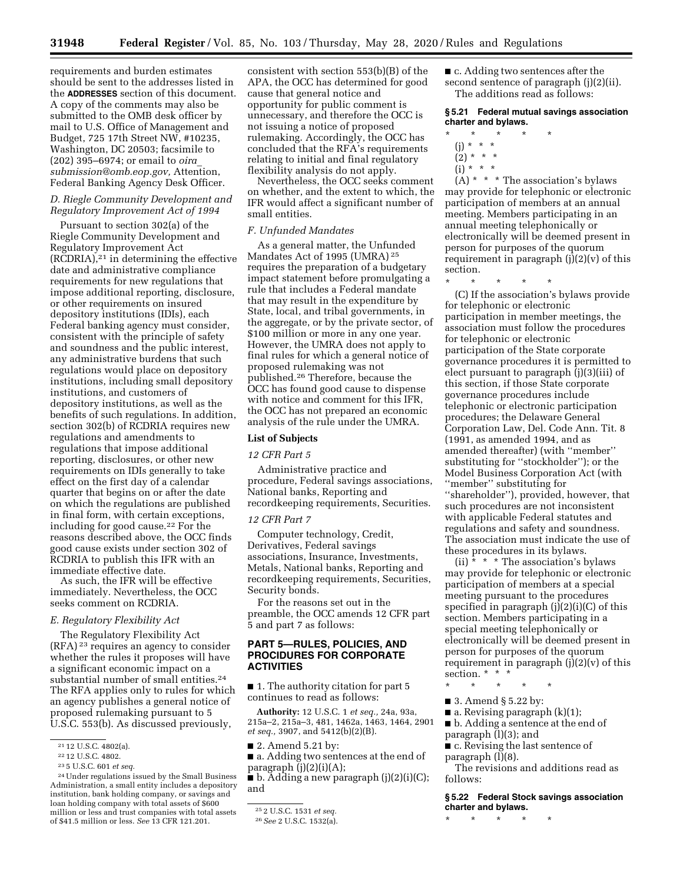requirements and burden estimates should be sent to the addresses listed in the **ADDRESSES** section of this document. A copy of the comments may also be submitted to the OMB desk officer by mail to U.S. Office of Management and Budget, 725 17th Street NW, #10235, Washington, DC 20503; facsimile to (202) 395–6974; or email to *[oira](mailto:oira_submission@omb.eop.gov)*\_ *[submission@omb.eop.gov,](mailto:oira_submission@omb.eop.gov)* Attention, Federal Banking Agency Desk Officer.

# *D. Riegle Community Development and Regulatory Improvement Act of 1994*

Pursuant to section 302(a) of the Riegle Community Development and Regulatory Improvement Act (RCDRIA),21 in determining the effective date and administrative compliance requirements for new regulations that impose additional reporting, disclosure, or other requirements on insured depository institutions (IDIs), each Federal banking agency must consider, consistent with the principle of safety and soundness and the public interest, any administrative burdens that such regulations would place on depository institutions, including small depository institutions, and customers of depository institutions, as well as the benefits of such regulations. In addition, section 302(b) of RCDRIA requires new regulations and amendments to regulations that impose additional reporting, disclosures, or other new requirements on IDIs generally to take effect on the first day of a calendar quarter that begins on or after the date on which the regulations are published in final form, with certain exceptions, including for good cause.22 For the reasons described above, the OCC finds good cause exists under section 302 of RCDRIA to publish this IFR with an immediate effective date.

As such, the IFR will be effective immediately. Nevertheless, the OCC seeks comment on RCDRIA.

#### *E. Regulatory Flexibility Act*

The Regulatory Flexibility Act (RFA) 23 requires an agency to consider whether the rules it proposes will have a significant economic impact on a substantial number of small entities.24 The RFA applies only to rules for which an agency publishes a general notice of proposed rulemaking pursuant to 5 U.S.C. 553(b). As discussed previously,

23 5 U.S.C. 601 *et seq.* 

consistent with section 553(b)(B) of the APA, the OCC has determined for good cause that general notice and opportunity for public comment is unnecessary, and therefore the OCC is not issuing a notice of proposed rulemaking. Accordingly, the OCC has concluded that the RFA's requirements relating to initial and final regulatory flexibility analysis do not apply.

Nevertheless, the OCC seeks comment on whether, and the extent to which, the IFR would affect a significant number of small entities.

#### *F. Unfunded Mandates*

As a general matter, the Unfunded Mandates Act of 1995 (UMRA) 25 requires the preparation of a budgetary impact statement before promulgating a rule that includes a Federal mandate that may result in the expenditure by State, local, and tribal governments, in the aggregate, or by the private sector, of \$100 million or more in any one year. However, the UMRA does not apply to final rules for which a general notice of proposed rulemaking was not published.26 Therefore, because the OCC has found good cause to dispense with notice and comment for this IFR, the OCC has not prepared an economic analysis of the rule under the UMRA.

#### **List of Subjects**

#### *12 CFR Part 5*

Administrative practice and procedure, Federal savings associations, National banks, Reporting and recordkeeping requirements, Securities.

## *12 CFR Part 7*

Computer technology, Credit, Derivatives, Federal savings associations, Insurance, Investments, Metals, National banks, Reporting and recordkeeping requirements, Securities, Security bonds.

For the reasons set out in the preamble, the OCC amends 12 CFR part 5 and part 7 as follows:

## **PART 5—RULES, POLICIES, AND PROCIDURES FOR CORPORATE ACTIVITIES**

■ 1. The authority citation for part 5 continues to read as follows:

**Authority:** 12 U.S.C. 1 *et seq.,* 24a, 93a, 215a–2, 215a–3, 481, 1462a, 1463, 1464, 2901 *et seq.,* 3907, and 5412(b)(2)(B).

■ 2. Amend 5.21 by:

■ a. Adding two sentences at the end of paragraph  $(j)(2)(i)(A);$ 

■ b. Adding a new paragraph (j)(2)(i)(C); and

■ c. Adding two sentences after the second sentence of paragraph (j)(2)(ii). The additions read as follows:

## **§ 5.21 Federal mutual savings association charter and bylaws.**

- $*$  \*
- (j) \* \* \*
- $(2) * * * *$
- $(i) * * * *$

 $(A)$  \* \* The association's bylaws may provide for telephonic or electronic participation of members at an annual meeting. Members participating in an annual meeting telephonically or electronically will be deemed present in person for purposes of the quorum requirement in paragraph  $(j)(2)(v)$  of this section.

\* \* \* \* \*

(C) If the association's bylaws provide for telephonic or electronic participation in member meetings, the association must follow the procedures for telephonic or electronic participation of the State corporate governance procedures it is permitted to elect pursuant to paragraph (j)(3)(iii) of this section, if those State corporate governance procedures include telephonic or electronic participation procedures; the Delaware General Corporation Law, Del. Code Ann. Tit. 8 (1991, as amended 1994, and as amended thereafter) (with ''member'' substituting for ''stockholder''); or the Model Business Corporation Act (with ''member'' substituting for ''shareholder''), provided, however, that such procedures are not inconsistent with applicable Federal statutes and regulations and safety and soundness. The association must indicate the use of these procedures in its bylaws.

(ii)  $* * * The association's by laws$ may provide for telephonic or electronic participation of members at a special meeting pursuant to the procedures specified in paragraph (j)(2)(i)(C) of this section. Members participating in a special meeting telephonically or electronically will be deemed present in person for purposes of the quorum requirement in paragraph  $(j)(2)(v)$  of this section. \* \* \*

- \* \* \* \* \*
- 3. Amend § 5.22 by:
- $\blacksquare$  a. Revising paragraph  $(k)(1)$ ;

■ b. Adding a sentence at the end of paragraph (l)(3); and

■ c. Revising the last sentence of paragraph (l)(8).

The revisions and additions read as follows:

**§ 5.22 Federal Stock savings association charter and bylaws.** 

\* \* \* \* \*

<sup>21</sup> 12 U.S.C. 4802(a).

<sup>22</sup> 12 U.S.C. 4802.

<sup>24</sup>Under regulations issued by the Small Business Administration, a small entity includes a depository institution, bank holding company, or savings and loan holding company with total assets of \$600 million or less and trust companies with total assets of \$41.5 million or less. *See* 13 CFR 121.201.

<sup>25</sup> 2 U.S.C. 1531 *et seq.* 

<sup>26</sup>*See* 2 U.S.C. 1532(a).